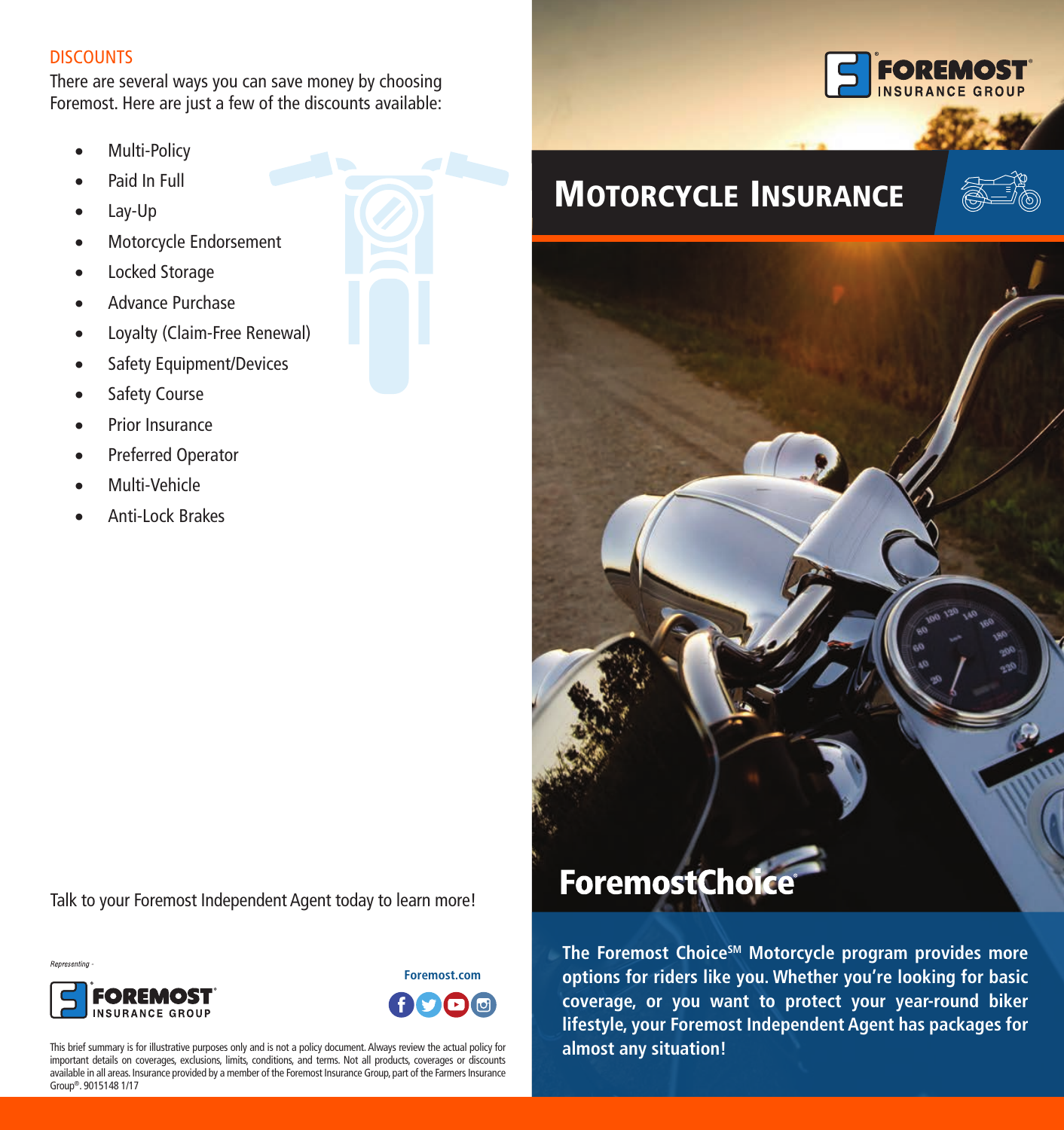#### **DISCOUNTS**

There are several ways you can save money by choosing Foremost. Here are just a few of the discounts available:

- Multi-Policy
- Paid In Full
- • Lay-Up
- • Motorcycle Endorsement
- Locked Storage
- Advance Purchase
- • Loyalty (Claim-Free Renewal)
- Safety Equipment/Devices
- Safety Course
- • Prior Insurance
- Preferred Operator
- Multi-Vehicle
- Anti-Lock Brakes









This brief summary is for illustrative purposes only and is not a policy document. Always review the actual policy for important details on coverages, exclusions, limits, conditions, and terms. Not all products, coverages or discounts available in all areas. Insurance provided by a member of the Foremost Insurance Group, part of the Farmers Insurance Group®. 9015148 1/17



# MOTORCYCLE INSURANCE





**The Foremost ChoiceSM Motorcycle program provides more options for riders like you. Whether you're looking for basic coverage, or you want to protect your year-round biker lifestyle, your Foremost Independent Agent has packages for almost any situation!**